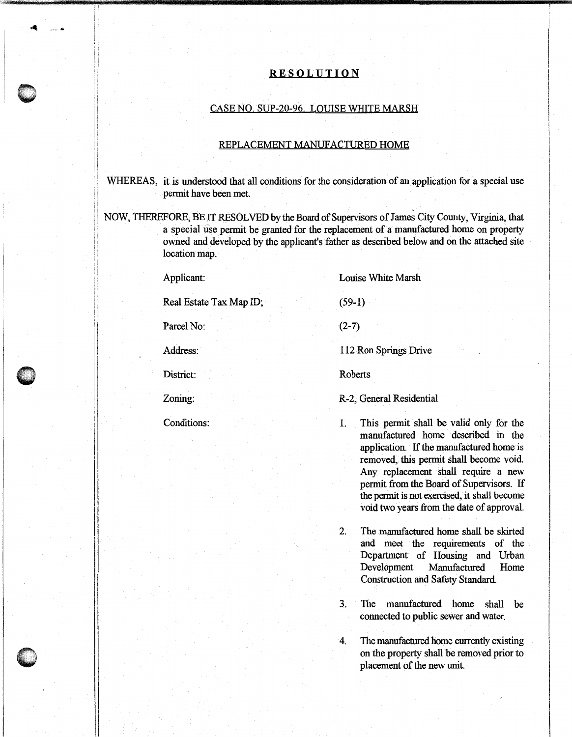## **RESOLUTION**

## CASE NO. SUP-20-96. LOUISE WHITE MARSH

## REPLACEMENT MANUFACTURED HOME

WHEREAS, it is understood that all conditions for the consideration of an application for a special use permit have been met.

NOW, THEREFORE, BE IT RESOLVED by the Board of Supervisors of James City County, Virginia, that a special use permit be granted for the replacement of a manufactured home on property owned and developed by the applicant's father as described below and on the attached site location map.

Applicant:

Real Estate Tax Map ID;

Parcel No:

Address:

District:

 $\bullet$ 

Zoning:

Conditions:

Louise White Marsh

 $(2-7)$ 

(59-1)

112 Ron Springs Drive

Roberts

## R-2, General Residential

1. This permit shall be valid only for the manufactured home described in the application. If the manufactured home is removed, this permit shall become void. Any replacement shall require a new permit from the Board of Supervisors. If the permit is not exercised, it shall become void two years from the date of approval.

2. The manufactured home shall be skirted and meet the requirements of the Department of Housing and Urban Development Manufactured Home Construction and Safety Standard.

3. The manufactured home shall be connected to public sewer and water.

4. The manufactured home currently existing on the property shall be removed prior to placement of the new unit.